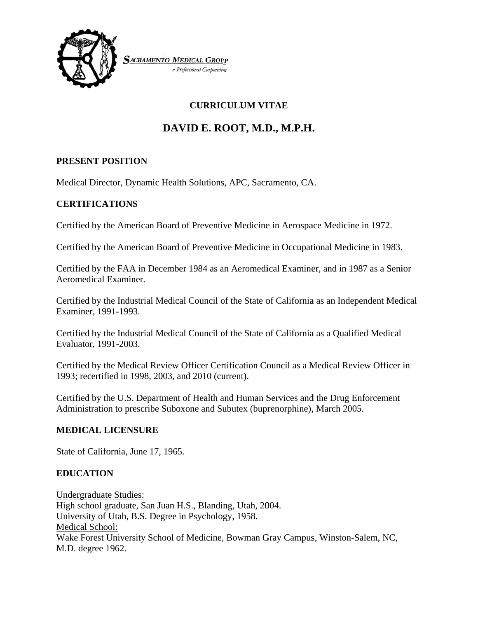

**SACRAMENTO MEDICAL GROUP** a Professional Corporation

# **CURRICULUM VITAE**

# DAVID E. ROOT, M.D., M.P.H.

# PRESENT POSITION

Medical Director, Dynamic Health Solutions, APC, Sacramento, CA.

# **CERTIFICATIONS**

Certified by the American Board of Preventive Medicine in Aerospace Medicine in 1972.

Certified by the American Board of Preventive Medicine in Occupational Medicine in 1983.

Certified by the FAA in December 1984 as an Aeromedical Examiner, and in 1987 as a Senior Aeromedical Examiner.

Certified by the Industrial Medical Council of the State of California as an Independent Medical Examiner, 1991-1993.

Certified by the Industrial Medical Council of the State of California as a Qualified Medical Evaluator, 1991-2003.

Certified by the Medical Review Officer Certification Council as a Medical Review Officer in 1993; recertified in 1998, 2003, and 2010 (current).

Certified by the U.S. Department of Health and Human Services and the Drug Enforcement Administration to prescribe Suboxone and Subutex (buprenorphine), March 2005.

## **MEDICAL LICENSURE**

State of California, June 17, 1965.

## **EDUCATION**

Undergraduate Studies: High school graduate, San Juan H.S., Blanding, Utah, 2004. University of Utah, B.S. Degree in Psychology, 1958. **Medical School:** Wake Forest University School of Medicine, Bowman Gray Campus, Winston-Salem, NC, M.D. degree 1962.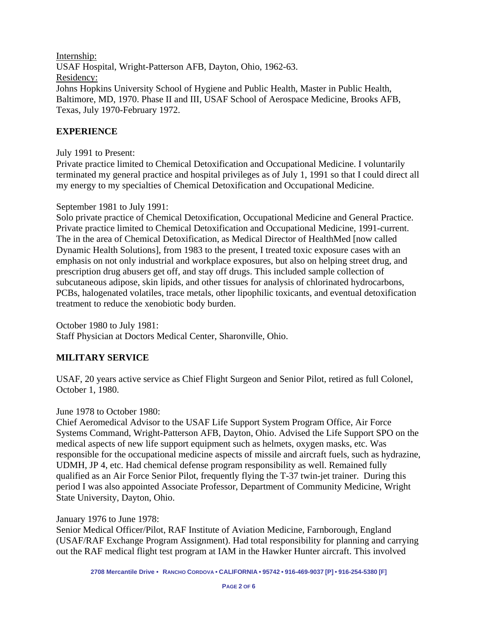Internship: USAF Hospital, Wright-Patterson AFB, Dayton, Ohio, 1962-63. Residency: Johns Hopkins University School of Hygiene and Public Health, Master in Public Health, Baltimore, MD, 1970. Phase II and III, USAF School of Aerospace Medicine, Brooks AFB, Texas, July 1970-February 1972.

### **EXPERIENCE**

July 1991 to Present:

Private practice limited to Chemical Detoxification and Occupational Medicine. I voluntarily terminated my general practice and hospital privileges as of July 1, 1991 so that I could direct all my energy to my specialties of Chemical Detoxification and Occupational Medicine.

#### September 1981 to July 1991:

Solo private practice of Chemical Detoxification, Occupational Medicine and General Practice. Private practice limited to Chemical Detoxification and Occupational Medicine, 1991-current. The in the area of Chemical Detoxification, as Medical Director of HealthMed [now called Dynamic Health Solutions], from 1983 to the present, I treated toxic exposure cases with an emphasis on not only industrial and workplace exposures, but also on helping street drug, and prescription drug abusers get off, and stay off drugs. This included sample collection of subcutaneous adipose, skin lipids, and other tissues for analysis of chlorinated hydrocarbons, PCBs, halogenated volatiles, trace metals, other lipophilic toxicants, and eventual detoxification treatment to reduce the xenobiotic body burden.

October 1980 to July 1981:

Staff Physician at Doctors Medical Center, Sharonville, Ohio.

#### **MILITARY SERVICE**

USAF, 20 years active service as Chief Flight Surgeon and Senior Pilot, retired as full Colonel, October 1, 1980.

#### June 1978 to October 1980:

Chief Aeromedical Advisor to the USAF Life Support System Program Office, Air Force Systems Command, Wright-Patterson AFB, Dayton, Ohio. Advised the Life Support SPO on the medical aspects of new life support equipment such as helmets, oxygen masks, etc. Was responsible for the occupational medicine aspects of missile and aircraft fuels, such as hydrazine, UDMH, JP 4, etc. Had chemical defense program responsibility as well. Remained fully qualified as an Air Force Senior Pilot, frequently flying the T-37 twin-jet trainer. During this period I was also appointed Associate Professor, Department of Community Medicine, Wright State University, Dayton, Ohio.

#### January 1976 to June 1978:

Senior Medical Officer/Pilot, RAF Institute of Aviation Medicine, Farnborough, England (USAF/RAF Exchange Program Assignment). Had total responsibility for planning and carrying out the RAF medical flight test program at IAM in the Hawker Hunter aircraft. This involved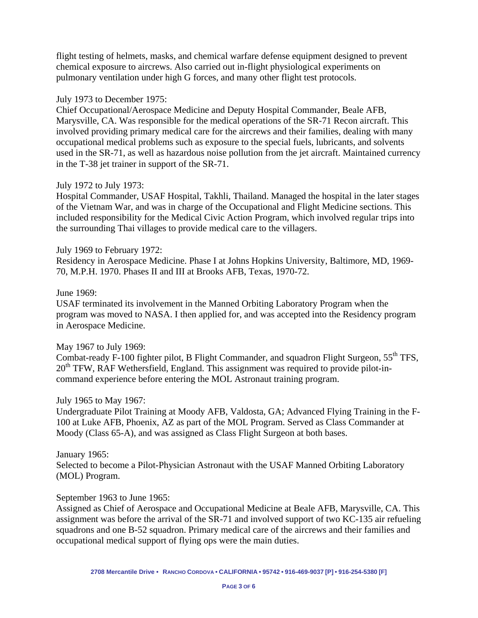flight testing of helmets, masks, and chemical warfare defense equipment designed to prevent chemical exposure to aircrews. Also carried out in-flight physiological experiments on pulmonary ventilation under high G forces, and many other flight test protocols.

#### July 1973 to December 1975:

Chief Occupational/Aerospace Medicine and Deputy Hospital Commander, Beale AFB, Marysville, CA. Was responsible for the medical operations of the SR-71 Recon aircraft. This involved providing primary medical care for the aircrews and their families, dealing with many occupational medical problems such as exposure to the special fuels, lubricants, and solvents used in the SR-71, as well as hazardous noise pollution from the jet aircraft. Maintained currency in the T-38 jet trainer in support of the SR-71.

#### July 1972 to July 1973:

Hospital Commander, USAF Hospital, Takhli, Thailand. Managed the hospital in the later stages of the Vietnam War, and was in charge of the Occupational and Flight Medicine sections. This included responsibility for the Medical Civic Action Program, which involved regular trips into the surrounding Thai villages to provide medical care to the villagers.

#### July 1969 to February 1972:

Residency in Aerospace Medicine. Phase I at Johns Hopkins University, Baltimore, MD, 1969- 70, M.P.H. 1970. Phases II and III at Brooks AFB, Texas, 1970-72.

#### June 1969:

USAF terminated its involvement in the Manned Orbiting Laboratory Program when the program was moved to NASA. I then applied for, and was accepted into the Residency program in Aerospace Medicine.

#### May 1967 to July 1969:

Combat-ready F-100 fighter pilot, B Flight Commander, and squadron Flight Surgeon, 55<sup>th</sup> TFS,  $20<sup>th</sup>$  TFW, RAF Wethersfield, England. This assignment was required to provide pilot-incommand experience before entering the MOL Astronaut training program.

#### July 1965 to May 1967:

Undergraduate Pilot Training at Moody AFB, Valdosta, GA; Advanced Flying Training in the F-100 at Luke AFB, Phoenix, AZ as part of the MOL Program. Served as Class Commander at Moody (Class 65-A), and was assigned as Class Flight Surgeon at both bases.

#### January 1965:

Selected to become a Pilot-Physician Astronaut with the USAF Manned Orbiting Laboratory (MOL) Program.

#### September 1963 to June 1965:

Assigned as Chief of Aerospace and Occupational Medicine at Beale AFB, Marysville, CA. This assignment was before the arrival of the SR-71 and involved support of two KC-135 air refueling squadrons and one B-52 squadron. Primary medical care of the aircrews and their families and occupational medical support of flying ops were the main duties.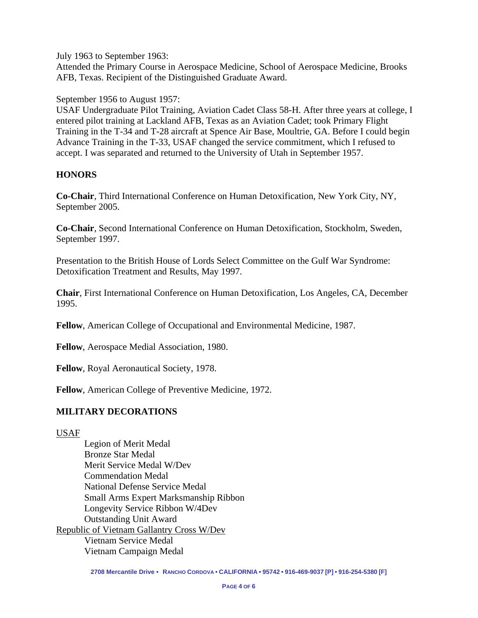July 1963 to September 1963:

Attended the Primary Course in Aerospace Medicine, School of Aerospace Medicine, Brooks AFB, Texas. Recipient of the Distinguished Graduate Award.

September 1956 to August 1957:

USAF Undergraduate Pilot Training, Aviation Cadet Class 58-H. After three years at college, I entered pilot training at Lackland AFB, Texas as an Aviation Cadet; took Primary Flight Training in the T-34 and T-28 aircraft at Spence Air Base, Moultrie, GA. Before I could begin Advance Training in the T-33, USAF changed the service commitment, which I refused to accept. I was separated and returned to the University of Utah in September 1957.

### **HONORS**

**Co-Chair**, Third International Conference on Human Detoxification, New York City, NY, September 2005.

**Co-Chair**, Second International Conference on Human Detoxification, Stockholm, Sweden, September 1997.

Presentation to the British House of Lords Select Committee on the Gulf War Syndrome: Detoxification Treatment and Results, May 1997.

**Chair**, First International Conference on Human Detoxification, Los Angeles, CA, December 1995.

**Fellow**, American College of Occupational and Environmental Medicine, 1987.

**Fellow**, Aerospace Medial Association, 1980.

**Fellow**, Royal Aeronautical Society, 1978.

**Fellow**, American College of Preventive Medicine, 1972.

#### **MILITARY DECORATIONS**

#### USAF

 Legion of Merit Medal Bronze Star Medal Merit Service Medal W/Dev Commendation Medal National Defense Service Medal Small Arms Expert Marksmanship Ribbon Longevity Service Ribbon W/4Dev Outstanding Unit Award Republic of Vietnam Gallantry Cross W/Dev Vietnam Service Medal Vietnam Campaign Medal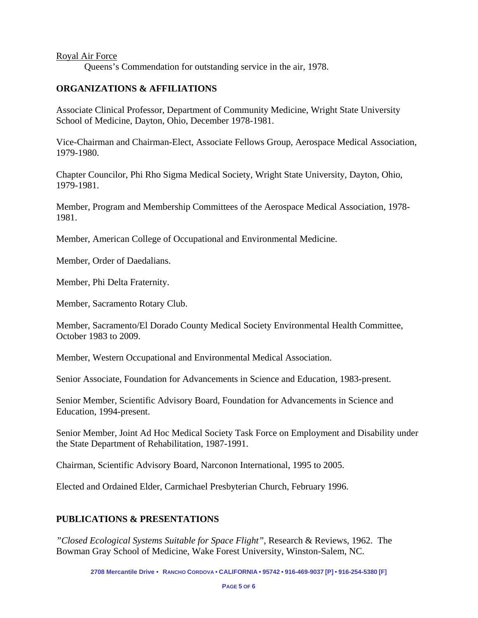Royal Air Force

Queens's Commendation for outstanding service in the air, 1978.

### **ORGANIZATIONS & AFFILIATIONS**

Associate Clinical Professor, Department of Community Medicine, Wright State University School of Medicine, Dayton, Ohio, December 1978-1981.

Vice-Chairman and Chairman-Elect, Associate Fellows Group, Aerospace Medical Association, 1979-1980.

Chapter Councilor, Phi Rho Sigma Medical Society, Wright State University, Dayton, Ohio, 1979-1981.

Member, Program and Membership Committees of the Aerospace Medical Association, 1978- 1981.

Member, American College of Occupational and Environmental Medicine.

Member, Order of Daedalians.

Member, Phi Delta Fraternity.

Member, Sacramento Rotary Club.

Member, Sacramento/El Dorado County Medical Society Environmental Health Committee, October 1983 to 2009.

Member, Western Occupational and Environmental Medical Association.

Senior Associate, Foundation for Advancements in Science and Education, 1983-present.

Senior Member, Scientific Advisory Board, Foundation for Advancements in Science and Education, 1994-present.

Senior Member, Joint Ad Hoc Medical Society Task Force on Employment and Disability under the State Department of Rehabilitation, 1987-1991.

Chairman, Scientific Advisory Board, Narconon International, 1995 to 2005.

Elected and Ordained Elder, Carmichael Presbyterian Church, February 1996.

### **PUBLICATIONS & PRESENTATIONS**

*"Closed Ecological Systems Suitable for Space Flight"*, Research & Reviews, 1962. The Bowman Gray School of Medicine, Wake Forest University, Winston-Salem, NC.